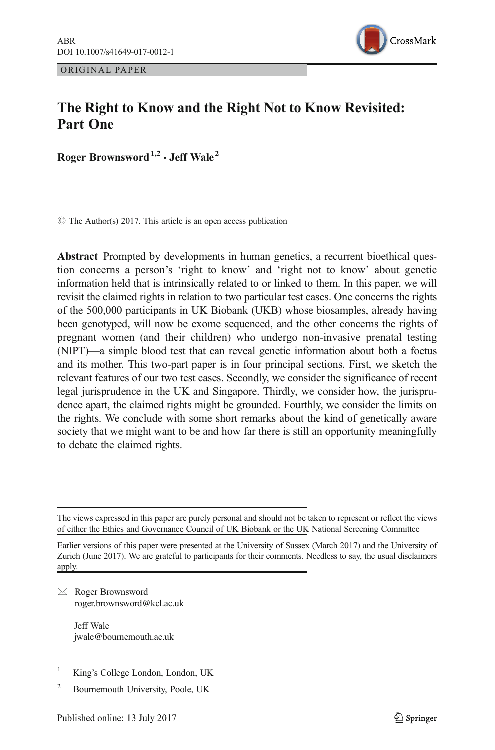ORIGINAL PAPER



# The Right to Know and the Right Not to Know Revisited: Part One

Roger Brownsword<sup>1,2</sup>  $\cdot$  Jeff Wale<sup>2</sup>

 $\circ$  The Author(s) 2017. This article is an open access publication

Abstract Prompted by developments in human genetics, a recurrent bioethical question concerns a person's 'right to know' and 'right not to know' about genetic information held that is intrinsically related to or linked to them. In this paper, we will revisit the claimed rights in relation to two particular test cases. One concerns the rights of the 500,000 participants in UK Biobank (UKB) whose biosamples, already having been genotyped, will now be exome sequenced, and the other concerns the rights of pregnant women (and their children) who undergo non-invasive prenatal testing (NIPT)—a simple blood test that can reveal genetic information about both a foetus and its mother. This two-part paper is in four principal sections. First, we sketch the relevant features of our two test cases. Secondly, we consider the significance of recent legal jurisprudence in the UK and Singapore. Thirdly, we consider how, the jurisprudence apart, the claimed rights might be grounded. Fourthly, we consider the limits on the rights. We conclude with some short remarks about the kind of genetically aware society that we might want to be and how far there is still an opportunity meaningfully to debate the claimed rights.

 $\boxtimes$  Roger Brownsword [roger.brownsword@kcl.ac.uk](mailto:roger.brownsword@kcl.ac.uk)

> Jeff Wale jwale@bournemouth.ac.uk

- King's College London, London, UK
- <sup>2</sup> Bournemouth University, Poole, UK

The views expressed in this paper are purely personal and should not be taken to represent or reflect the views of either the Ethics and Governance Council of UK Biobank or the UK National Screening Committee

Earlier versions of this paper were presented at the University of Sussex (March 2017) and the University of Zurich (June 2017). We are grateful to participants for their comments. Needless to say, the usual disclaimers apply.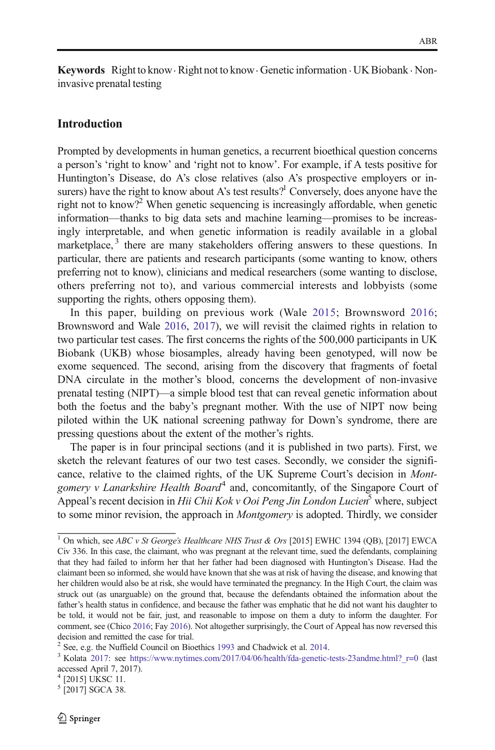Keywords Right to know  $\cdot$  Right not to know  $\cdot$  Genetic information  $\cdot$  UK Biobank  $\cdot$  Noninvasive prenatal testing

## Introduction

Prompted by developments in human genetics, a recurrent bioethical question concerns a person's 'right to know' and 'right not to know'. For example, if A tests positive for Huntington's Disease, do A's close relatives (also A's prospective employers or insurers) have the right to know about A's test results?<sup>1</sup> Conversely, does anyone have the right not to know?<sup>2</sup> When genetic sequencing is increasingly affordable, when genetic information—thanks to big data sets and machine learning—promises to be increasingly interpretable, and when genetic information is readily available in a global marketplace, $3$  there are many stakeholders offering answers to these questions. In particular, there are patients and research participants (some wanting to know, others preferring not to know), clinicians and medical researchers (some wanting to disclose, others preferring not to), and various commercial interests and lobbyists (some supporting the rights, others opposing them).

In this paper, building on previous work (Wale [2015](#page-15-0); Brownsword [2016;](#page-14-0) Brownsword and Wale [2016,](#page-14-0) [2017](#page-14-0)), we will revisit the claimed rights in relation to two particular test cases. The first concerns the rights of the 500,000 participants in UK Biobank (UKB) whose biosamples, already having been genotyped, will now be exome sequenced. The second, arising from the discovery that fragments of foetal DNA circulate in the mother's blood, concerns the development of non-invasive prenatal testing (NIPT)—a simple blood test that can reveal genetic information about both the foetus and the baby's pregnant mother. With the use of NIPT now being piloted within the UK national screening pathway for Down's syndrome, there are pressing questions about the extent of the mother's rights.

The paper is in four principal sections (and it is published in two parts). First, we sketch the relevant features of our two test cases. Secondly, we consider the significance, relative to the claimed rights, of the UK Supreme Court's decision in Montgomery v Lanarkshire Health Board<sup>4</sup> and, concomitantly, of the Singapore Court of Appeal's recent decision in Hii Chii Kok v Ooi Peng Jin London Lucien<sup>5</sup> where, subject to some minor revision, the approach in *Montgomery* is adopted. Thirdly, we consider

<sup>&</sup>lt;sup>1</sup> On which, see ABC v St George's Healthcare NHS Trust & Ors [2015] EWHC 1394 (QB), [2017] EWCA Civ 336. In this case, the claimant, who was pregnant at the relevant time, sued the defendants, complaining that they had failed to inform her that her father had been diagnosed with Huntington's Disease. Had the claimant been so informed, she would have known that she was at risk of having the disease, and knowing that her children would also be at risk, she would have terminated the pregnancy. In the High Court, the claim was struck out (as unarguable) on the ground that, because the defendants obtained the information about the father's health status in confidence, and because the father was emphatic that he did not want his daughter to be told, it would not be fair, just, and reasonable to impose on them a duty to inform the daughter. For comment, see (Chico [2016;](#page-15-0) Fay [2016\)](#page-15-0). Not altogether surprisingly, the Court of Appeal has now reversed this

decision and remitted the case for trial.<br><sup>2</sup> See, e.g. the Nuffield Council on Bioethics 1993 and Chadwick et al. 2014.

 $3$  Kolata [2017](#page-15-0): see [https://www.nytimes.com/2017/04/06/health/fda-genetic-tests-23andme.html?\\_r=0](https://www.nytimes.com/2017/04/06/health/fda-genetic-tests-23andme.html?_r=0) (last accessed April 7, 2017).

<sup>4</sup> [2015] UKSC 11.

 $5$  [2017] SGCA 38.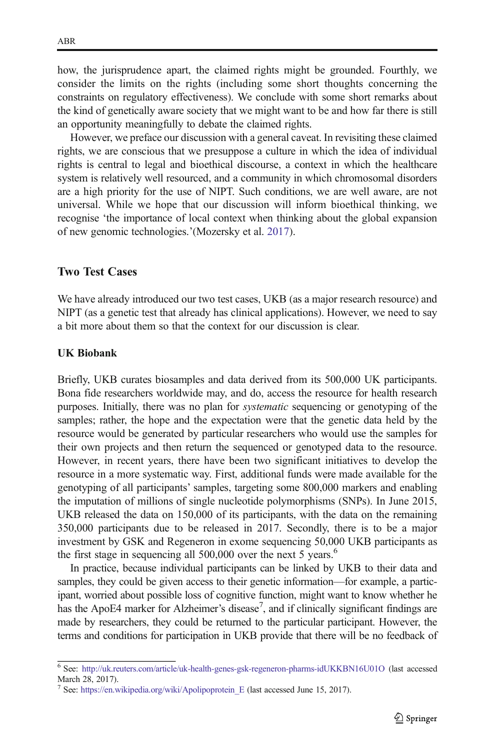how, the jurisprudence apart, the claimed rights might be grounded. Fourthly, we consider the limits on the rights (including some short thoughts concerning the constraints on regulatory effectiveness). We conclude with some short remarks about the kind of genetically aware society that we might want to be and how far there is still an opportunity meaningfully to debate the claimed rights.

However, we preface our discussion with a general caveat. In revisiting these claimed rights, we are conscious that we presuppose a culture in which the idea of individual rights is central to legal and bioethical discourse, a context in which the healthcare system is relatively well resourced, and a community in which chromosomal disorders are a high priority for the use of NIPT. Such conditions, we are well aware, are not universal. While we hope that our discussion will inform bioethical thinking, we recognise 'the importance of local context when thinking about the global expansion of new genomic technologies.'(Mozersky et al. [2017\)](#page-15-0).

### Two Test Cases

We have already introduced our two test cases, UKB (as a major research resource) and NIPT (as a genetic test that already has clinical applications). However, we need to say a bit more about them so that the context for our discussion is clear.

#### UK Biobank

Briefly, UKB curates biosamples and data derived from its 500,000 UK participants. Bona fide researchers worldwide may, and do, access the resource for health research purposes. Initially, there was no plan for systematic sequencing or genotyping of the samples; rather, the hope and the expectation were that the genetic data held by the resource would be generated by particular researchers who would use the samples for their own projects and then return the sequenced or genotyped data to the resource. However, in recent years, there have been two significant initiatives to develop the resource in a more systematic way. First, additional funds were made available for the genotyping of all participants' samples, targeting some 800,000 markers and enabling the imputation of millions of single nucleotide polymorphisms (SNPs). In June 2015, UKB released the data on 150,000 of its participants, with the data on the remaining 350,000 participants due to be released in 2017. Secondly, there is to be a major investment by GSK and Regeneron in exome sequencing 50,000 UKB participants as the first stage in sequencing all 500,000 over the next 5 years.<sup>6</sup>

In practice, because individual participants can be linked by UKB to their data and samples, they could be given access to their genetic information—for example, a participant, worried about possible loss of cognitive function, might want to know whether he has the ApoE4 marker for Alzheimer's disease<sup>7</sup>, and if clinically significant findings are made by researchers, they could be returned to the particular participant. However, the terms and conditions for participation in UKB provide that there will be no feedback of

<sup>6</sup> See: <http://uk.reuters.com/article/uk-health-genes-gsk-regeneron-pharms-idUKKBN16U01O> (last accessed March 28, 2017).

<sup>&</sup>lt;sup>7</sup> See: https://en.wikipedia.org/wiki/Apolipoprotein E (last accessed June 15, 2017).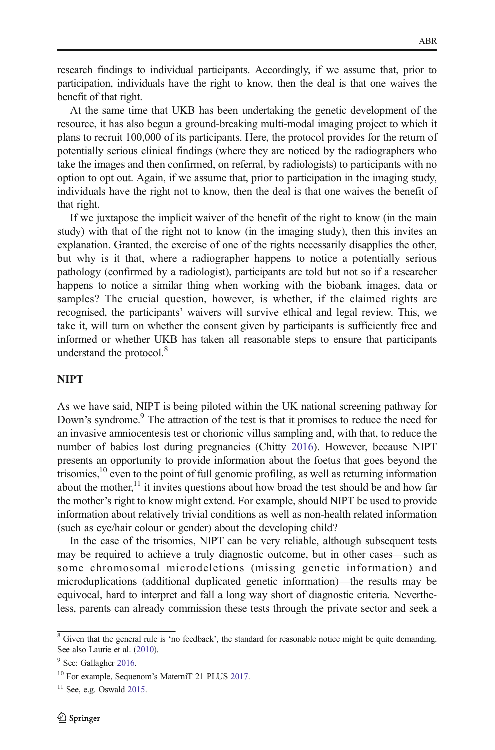research findings to individual participants. Accordingly, if we assume that, prior to participation, individuals have the right to know, then the deal is that one waives the benefit of that right.

At the same time that UKB has been undertaking the genetic development of the resource, it has also begun a ground-breaking multi-modal imaging project to which it plans to recruit 100,000 of its participants. Here, the protocol provides for the return of potentially serious clinical findings (where they are noticed by the radiographers who take the images and then confirmed, on referral, by radiologists) to participants with no option to opt out. Again, if we assume that, prior to participation in the imaging study, individuals have the right not to know, then the deal is that one waives the benefit of that right.

If we juxtapose the implicit waiver of the benefit of the right to know (in the main study) with that of the right not to know (in the imaging study), then this invites an explanation. Granted, the exercise of one of the rights necessarily disapplies the other, but why is it that, where a radiographer happens to notice a potentially serious pathology (confirmed by a radiologist), participants are told but not so if a researcher happens to notice a similar thing when working with the biobank images, data or samples? The crucial question, however, is whether, if the claimed rights are recognised, the participants' waivers will survive ethical and legal review. This, we take it, will turn on whether the consent given by participants is sufficiently free and informed or whether UKB has taken all reasonable steps to ensure that participants understand the protocol.<sup>8</sup>

### **NIPT**

As we have said, NIPT is being piloted within the UK national screening pathway for Down's syndrome.<sup>9</sup> The attraction of the test is that it promises to reduce the need for an invasive amniocentesis test or chorionic villus sampling and, with that, to reduce the number of babies lost during pregnancies (Chitty [2016\)](#page-15-0). However, because NIPT presents an opportunity to provide information about the foetus that goes beyond the trisomies, $10$  even to the point of full genomic profiling, as well as returning information about the mother,<sup>11</sup> it invites questions about how broad the test should be and how far the mother's right to know might extend. For example, should NIPT be used to provide information about relatively trivial conditions as well as non-health related information (such as eye/hair colour or gender) about the developing child?

In the case of the trisomies, NIPT can be very reliable, although subsequent tests may be required to achieve a truly diagnostic outcome, but in other cases—such as some chromosomal microdeletions (missing genetic information) and microduplications (additional duplicated genetic information)—the results may be equivocal, hard to interpret and fall a long way short of diagnostic criteria. Nevertheless, parents can already commission these tests through the private sector and seek a

<sup>&</sup>lt;sup>8</sup> Given that the general rule is 'no feedback', the standard for reasonable notice might be quite demanding. See also Laurie et al. [\(2010\)](#page-15-0).

<sup>&</sup>lt;sup>9</sup> See: Gallagher [2016.](#page-15-0)

<sup>10</sup> For example, Sequenom's MaterniT 21 PLUS [2017.](#page-15-0)

 $11$  See, e.g. Oswald [2015](#page-15-0).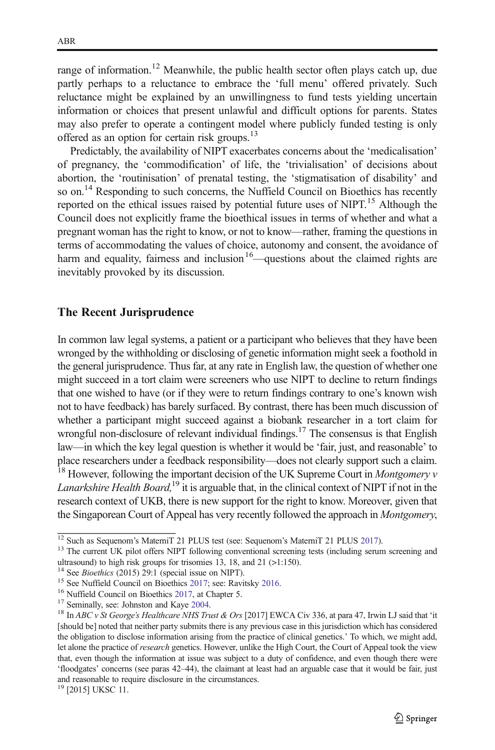range of information.<sup>12</sup> Meanwhile, the public health sector often plays catch up, due partly perhaps to a reluctance to embrace the 'full menu' offered privately. Such reluctance might be explained by an unwillingness to fund tests yielding uncertain information or choices that present unlawful and difficult options for parents. States may also prefer to operate a contingent model where publicly funded testing is only offered as an option for certain risk groups.<sup>13</sup>

Predictably, the availability of NIPT exacerbates concerns about the 'medicalisation' of pregnancy, the 'commodification' of life, the 'trivialisation' of decisions about abortion, the 'routinisation' of prenatal testing, the 'stigmatisation of disability' and so on.<sup>14</sup> Responding to such concerns, the Nuffield Council on Bioethics has recently reported on the ethical issues raised by potential future uses of NIPT.<sup>15</sup> Although the Council does not explicitly frame the bioethical issues in terms of whether and what a pregnant woman has the right to know, or not to know—rather, framing the questions in terms of accommodating the values of choice, autonomy and consent, the avoidance of harm and equality, fairness and inclusion  $16$ —questions about the claimed rights are inevitably provoked by its discussion.

### The Recent Jurisprudence

In common law legal systems, a patient or a participant who believes that they have been wronged by the withholding or disclosing of genetic information might seek a foothold in the general jurisprudence. Thus far, at any rate in English law, the question of whether one might succeed in a tort claim were screeners who use NIPT to decline to return findings that one wished to have (or if they were to return findings contrary to one's known wish not to have feedback) has barely surfaced. By contrast, there has been much discussion of whether a participant might succeed against a biobank researcher in a tort claim for wrongful non-disclosure of relevant individual findings.<sup>17</sup> The consensus is that English law—in which the key legal question is whether it would be 'fair, just, and reasonable' to place researchers under a feedback responsibility—does not clearly support such a claim. <sup>18</sup> However, following the important decision of the UK Supreme Court in *Montgomery*  $v$ Lanarkshire Health Board,<sup>19</sup> it is arguable that, in the clinical context of NIPT if not in the research context of UKB, there is new support for the right to know. Moreover, given that the Singaporean Court of Appeal has very recently followed the approach in Montgomery,

<sup>&</sup>lt;sup>12</sup> Such as Sequenom's MaterniT 21 PLUS test (see: Sequenom's MaterniT 21 PLUS [2017\)](#page-15-0).<br><sup>13</sup> The current UK pilot offers NIPT following conventional screening tests (including serum screening and ultrasound) to high risk groups for trisomies 13, 18, and 21 (>1:150). <sup>14</sup> See *Bioethics* (2015) 29:1 (special issue on NIPT).

<sup>&</sup>lt;sup>15</sup> See Nuffield Council on Bioethics [2017](#page-15-0); see: Ravitsky [2016.](#page-15-0)<br><sup>16</sup> Nuffield Council on Bioethics [2017,](#page-15-0) at Chapter 5.<br><sup>17</sup> Seminally, see: Johnston and Kaye [2004](#page-15-0).<br><sup>18</sup> In *ABC v St George's Healthcare NHS Trust & Ors* [ [should be] noted that neither party submits there is any previous case in this jurisdiction which has considered the obligation to disclose information arising from the practice of clinical genetics.' To which, we might add, let alone the practice of research genetics. However, unlike the High Court, the Court of Appeal took the view that, even though the information at issue was subject to a duty of confidence, and even though there were 'floodgates' concerns (see paras 42–44), the claimant at least had an arguable case that it would be fair, just and reasonable to require disclosure in the circumstances.

<sup>19</sup> [2015] UKSC 11.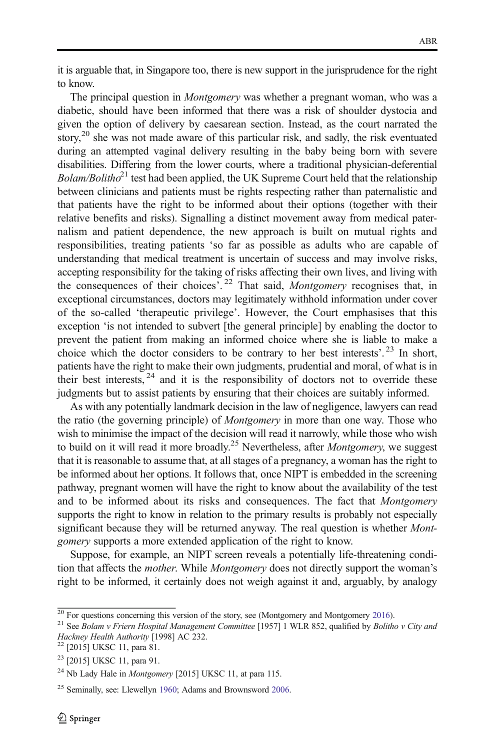it is arguable that, in Singapore too, there is new support in the jurisprudence for the right to know.

The principal question in *Montgomery* was whether a pregnant woman, who was a diabetic, should have been informed that there was a risk of shoulder dystocia and given the option of delivery by caesarean section. Instead, as the court narrated the story,<sup>20</sup> she was not made aware of this particular risk, and sadly, the risk eventuated during an attempted vaginal delivery resulting in the baby being born with severe disabilities. Differing from the lower courts, where a traditional physician-deferential  $Bolam/Bolitho<sup>21</sup>$  test had been applied, the UK Supreme Court held that the relationship between clinicians and patients must be rights respecting rather than paternalistic and that patients have the right to be informed about their options (together with their relative benefits and risks). Signalling a distinct movement away from medical paternalism and patient dependence, the new approach is built on mutual rights and responsibilities, treating patients 'so far as possible as adults who are capable of understanding that medical treatment is uncertain of success and may involve risks, accepting responsibility for the taking of risks affecting their own lives, and living with the consequences of their choices'.<sup>22</sup> That said, Montgomery recognises that, in exceptional circumstances, doctors may legitimately withhold information under cover of the so-called 'therapeutic privilege'. However, the Court emphasises that this exception 'is not intended to subvert [the general principle] by enabling the doctor to prevent the patient from making an informed choice where she is liable to make a choice which the doctor considers to be contrary to her best interests'. <sup>23</sup> In short, patients have the right to make their own judgments, prudential and moral, of what is in their best interests,  $24$  and it is the responsibility of doctors not to override these judgments but to assist patients by ensuring that their choices are suitably informed.

As with any potentially landmark decision in the law of negligence, lawyers can read the ratio (the governing principle) of *Montgomery* in more than one way. Those who wish to minimise the impact of the decision will read it narrowly, while those who wish to build on it will read it more broadly.<sup>25</sup> Nevertheless, after *Montgomery*, we suggest that it is reasonable to assume that, at all stages of a pregnancy, a woman has the right to be informed about her options. It follows that, once NIPT is embedded in the screening pathway, pregnant women will have the right to know about the availability of the test and to be informed about its risks and consequences. The fact that Montgomery supports the right to know in relation to the primary results is probably not especially significant because they will be returned anyway. The real question is whether Montgomery supports a more extended application of the right to know.

Suppose, for example, an NIPT screen reveals a potentially life-threatening condition that affects the *mother*. While *Montgomery* does not directly support the woman's right to be informed, it certainly does not weigh against it and, arguably, by analogy

<sup>&</sup>lt;sup>20</sup> For questions concerning this version of the story, see (Montgomery and Montgomery [2016](#page-15-0)).<br><sup>21</sup> See Bolam v Friern Hospital Management Committee [1957] 1 WLR 852, qualified by Bolitho v City and Hackney Health Authori

<sup>&</sup>lt;sup>22</sup> [2015] UKSC 11, para 81.

<sup>&</sup>lt;sup>23</sup> [2015] UKSC 11, para 91.

<sup>&</sup>lt;sup>24</sup> Nb Lady Hale in *Montgomery* [2015] UKSC 11, at para 115.

<sup>&</sup>lt;sup>25</sup> Seminally, see: Llewellyn [1960;](#page-15-0) Adams and Brownsword [2006.](#page-14-0)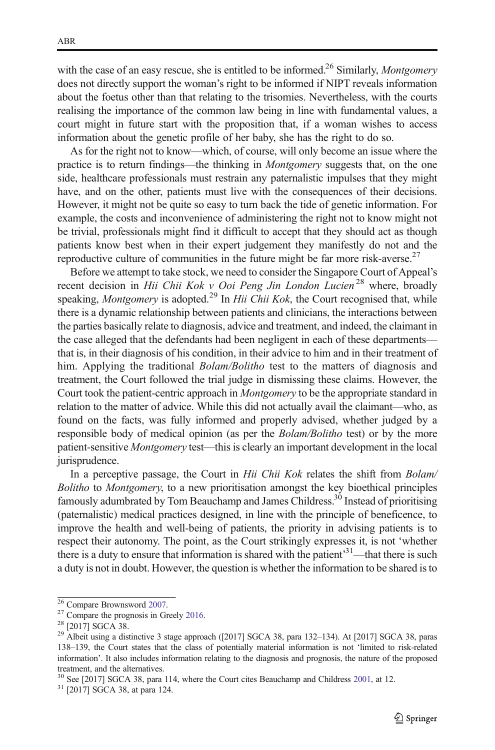with the case of an easy rescue, she is entitled to be informed.<sup>26</sup> Similarly, *Montgomery* does not directly support the woman's right to be informed if NIPT reveals information about the foetus other than that relating to the trisomies. Nevertheless, with the courts realising the importance of the common law being in line with fundamental values, a court might in future start with the proposition that, if a woman wishes to access information about the genetic profile of her baby, she has the right to do so.

As for the right not to know—which, of course, will only become an issue where the practice is to return findings—the thinking in Montgomery suggests that, on the one side, healthcare professionals must restrain any paternalistic impulses that they might have, and on the other, patients must live with the consequences of their decisions. However, it might not be quite so easy to turn back the tide of genetic information. For example, the costs and inconvenience of administering the right not to know might not be trivial, professionals might find it difficult to accept that they should act as though patients know best when in their expert judgement they manifestly do not and the reproductive culture of communities in the future might be far more risk-averse.<sup>27</sup>

Before we attempt to take stock, we need to consider the Singapore Court of Appeal's recent decision in Hii Chii Kok v Ooi Peng Jin London Lucien<sup>28</sup> where, broadly speaking, *Montgomery* is adopted.<sup>29</sup> In *Hii Chii Kok*, the Court recognised that, while there is a dynamic relationship between patients and clinicians, the interactions between the parties basically relate to diagnosis, advice and treatment, and indeed, the claimant in the case alleged that the defendants had been negligent in each of these departments that is, in their diagnosis of his condition, in their advice to him and in their treatment of him. Applying the traditional *Bolam/Bolitho* test to the matters of diagnosis and treatment, the Court followed the trial judge in dismissing these claims. However, the Court took the patient-centric approach in *Montgomery* to be the appropriate standard in relation to the matter of advice. While this did not actually avail the claimant—who, as found on the facts, was fully informed and properly advised, whether judged by a responsible body of medical opinion (as per the *Bolam/Bolitho* test) or by the more patient-sensitive Montgomery test—this is clearly an important development in the local jurisprudence.

In a perceptive passage, the Court in Hii Chii Kok relates the shift from Bolam/ Bolitho to Montgomery, to a new prioritisation amongst the key bioethical principles famously adumbrated by Tom Beauchamp and James Childress.<sup>30</sup> Instead of prioritising (paternalistic) medical practices designed, in line with the principle of beneficence, to improve the health and well-being of patients, the priority in advising patients is to respect their autonomy. The point, as the Court strikingly expresses it, is not 'whether there is a duty to ensure that information is shared with the patient<sup>31</sup>—that there is such a duty is not in doubt. However, the question is whether the information to be shared is to

<sup>&</sup>lt;sup>26</sup> Compare Brownsword [2007](#page-14-0).<br><sup>27</sup> Compare the prognosis in Greely [2016.](#page-15-0)<br><sup>28</sup> [2017] SGCA 38.<br><sup>29</sup> Albeit using a distinctive 3 stage approach ([2017] SGCA 38, para 132–134). At [2017] SGCA 38, paras 138–139, the Court states that the class of potentially material information is not 'limited to risk-related information'. It also includes information relating to the diagnosis and prognosis, the nature of the proposed treatment, and the alternatives.

 $30$  See [2017] SGCA 38, para 114, where the Court cites Beauchamp and Childress [2001](#page-14-0), at 12.  $31$  [2017] SGCA 38, at para 124.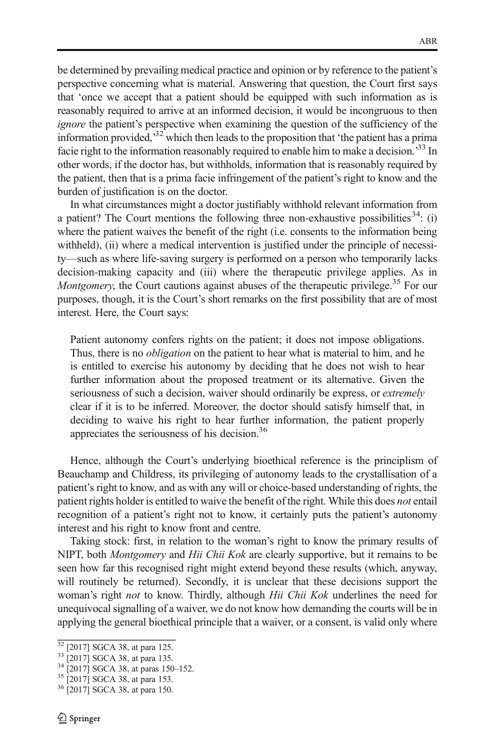be determined by prevailing medical practice and opinion or by reference to the patient's perspective concerning what is material. Answering that question, the Court first says that 'once we accept that a patient should be equipped with such information as is reasonably required to arrive at an informed decision, it would be incongruous to then ignore the patient's perspective when examining the question of the sufficiency of the information provided,<sup>32</sup> which then leads to the proposition that 'the patient has a prima facie right to the information reasonably required to enable him to make a decision.<sup>33</sup> In other words, if the doctor has, but withholds, information that is reasonably required by the patient, then that is a prima facie infringement of the patient's right to know and the burden of justification is on the doctor.

In what circumstances might a doctor justifiably withhold relevant information from a patient? The Court mentions the following three non-exhaustive possibilities  $34$ : (i) where the patient waives the benefit of the right (i.e. consents to the information being withheld), (ii) where a medical intervention is justified under the principle of necessity—such as where life-saving surgery is performed on a person who temporarily lacks decision-making capacity and (iii) where the therapeutic privilege applies. As in Montgomery, the Court cautions against abuses of the therapeutic privilege.<sup>35</sup> For our purposes, though, it is the Court's short remarks on the first possibility that are of most interest. Here, the Court says:

Patient autonomy confers rights on the patient; it does not impose obligations. Thus, there is no *obligation* on the patient to hear what is material to him, and he is entitled to exercise his autonomy by deciding that he does not wish to hear further information about the proposed treatment or its alternative. Given the seriousness of such a decision, waiver should ordinarily be express, or *extremely* clear if it is to be inferred. Moreover, the doctor should satisfy himself that, in deciding to waive his right to hear further information, the patient properly appreciates the seriousness of his decision.36

Hence, although the Court's underlying bioethical reference is the principlism of Beauchamp and Childress, its privileging of autonomy leads to the crystallisation of a patient's right to know, and as with any will or choice-based understanding of rights, the patient rights holder is entitled to waive the benefit of the right. While this does not entail recognition of a patient's right not to know, it certainly puts the patient's autonomy interest and his right to know front and centre.

Taking stock: first, in relation to the woman's right to know the primary results of NIPT, both *Montgomery* and *Hii Chii Kok* are clearly supportive, but it remains to be seen how far this recognised right might extend beyond these results (which, anyway, will routinely be returned). Secondly, it is unclear that these decisions support the woman's right *not* to know. Thirdly, although *Hii Chii Kok* underlines the need for unequivocal signalling of a waiver, we do not know how demanding the courts will be in applying the general bioethical principle that a waiver, or a consent, is valid only where

 $\frac{32}{32}$  [2017] SGCA 38, at para 125.<br>  $\frac{33}{4}$  [2017] SGCA 38, at paras 150–152.<br>  $\frac{35}{12017}$  SGCA 38, at para 153.<br>  $\frac{36}{12017}$  SGCA 38, at para 150.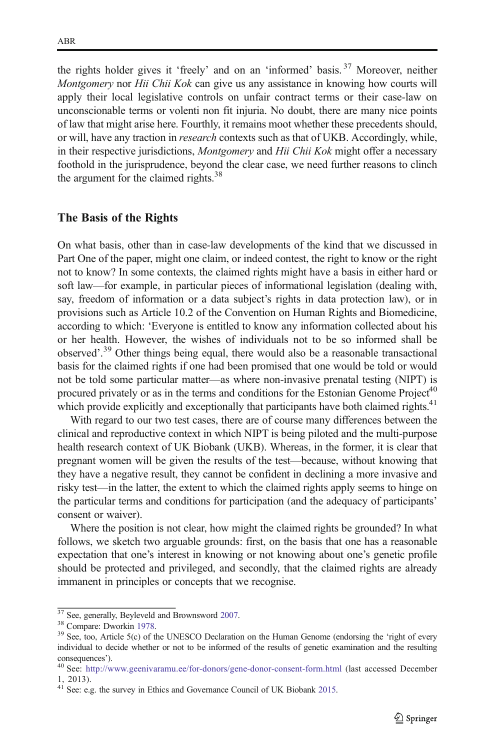the rights holder gives it 'freely' and on an 'informed' basis. <sup>37</sup> Moreover, neither Montgomery nor Hii Chii Kok can give us any assistance in knowing how courts will apply their local legislative controls on unfair contract terms or their case-law on unconscionable terms or volenti non fit injuria. No doubt, there are many nice points of law that might arise here. Fourthly, it remains moot whether these precedents should, or will, have any traction in research contexts such as that of UKB. Accordingly, while, in their respective jurisdictions, *Montgomery* and *Hii Chii Kok* might offer a necessary foothold in the jurisprudence, beyond the clear case, we need further reasons to clinch the argument for the claimed rights.<sup>38</sup>

#### The Basis of the Rights

On what basis, other than in case-law developments of the kind that we discussed in Part One of the paper, might one claim, or indeed contest, the right to know or the right not to know? In some contexts, the claimed rights might have a basis in either hard or soft law—for example, in particular pieces of informational legislation (dealing with, say, freedom of information or a data subject's rights in data protection law), or in provisions such as Article 10.2 of the Convention on Human Rights and Biomedicine, according to which: 'Everyone is entitled to know any information collected about his or her health. However, the wishes of individuals not to be so informed shall be observed'. <sup>39</sup> Other things being equal, there would also be a reasonable transactional basis for the claimed rights if one had been promised that one would be told or would not be told some particular matter—as where non-invasive prenatal testing (NIPT) is procured privately or as in the terms and conditions for the Estonian Genome Project<sup>40</sup> which provide explicitly and exceptionally that participants have both claimed rights.<sup>41</sup>

With regard to our two test cases, there are of course many differences between the clinical and reproductive context in which NIPT is being piloted and the multi-purpose health research context of UK Biobank (UKB). Whereas, in the former, it is clear that pregnant women will be given the results of the test—because, without knowing that they have a negative result, they cannot be confident in declining a more invasive and risky test—in the latter, the extent to which the claimed rights apply seems to hinge on the particular terms and conditions for participation (and the adequacy of participants' consent or waiver).

Where the position is not clear, how might the claimed rights be grounded? In what follows, we sketch two arguable grounds: first, on the basis that one has a reasonable expectation that one's interest in knowing or not knowing about one's genetic profile should be protected and privileged, and secondly, that the claimed rights are already immanent in principles or concepts that we recognise.

<sup>&</sup>lt;sup>37</sup> See, generally, Beyleveld and Brownsword [2007](#page-14-0).<br><sup>38</sup> Compare: Dworkin [1978](#page-15-0).<br><sup>39</sup> See, too, Article 5(c) of the UNESCO Declaration on the Human Genome (endorsing the 'right of every individual to decide whether or not to be informed of the results of genetic examination and the resulting

consequences'). <sup>40</sup> See: <http://www.geenivaramu.ee/for-donors/gene-donor-consent-form.html> (last accessed December 1, 2013).

<sup>&</sup>lt;sup>41</sup> See: e.g. the survey in Ethics and Governance Council of UK Biobank [2015](#page-15-0).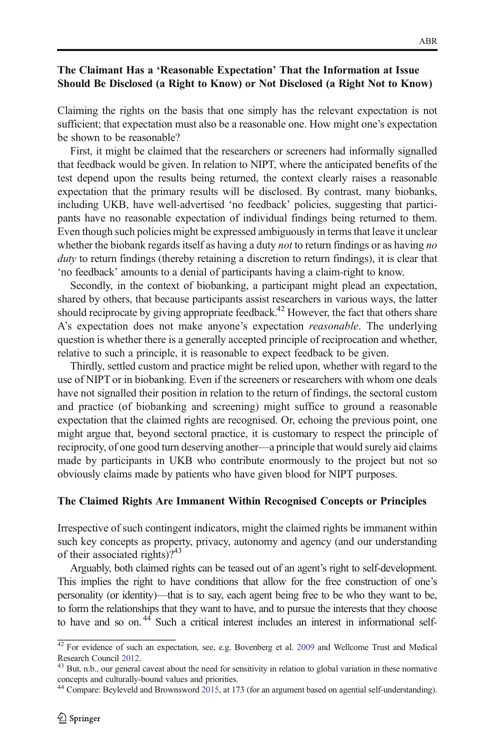## The Claimant Has a 'Reasonable Expectation' That the Information at Issue Should Be Disclosed (a Right to Know) or Not Disclosed (a Right Not to Know)

Claiming the rights on the basis that one simply has the relevant expectation is not sufficient; that expectation must also be a reasonable one. How might one's expectation be shown to be reasonable?

First, it might be claimed that the researchers or screeners had informally signalled that feedback would be given. In relation to NIPT, where the anticipated benefits of the test depend upon the results being returned, the context clearly raises a reasonable expectation that the primary results will be disclosed. By contrast, many biobanks, including UKB, have well-advertised 'no feedback' policies, suggesting that participants have no reasonable expectation of individual findings being returned to them. Even though such policies might be expressed ambiguously in terms that leave it unclear whether the biobank regards itself as having a duty *not* to return findings or as having no duty to return findings (thereby retaining a discretion to return findings), it is clear that 'no feedback' amounts to a denial of participants having a claim-right to know.

Secondly, in the context of biobanking, a participant might plead an expectation, shared by others, that because participants assist researchers in various ways, the latter should reciprocate by giving appropriate feedback.<sup>42</sup> However, the fact that others share A's expectation does not make anyone's expectation *reasonable*. The underlying question is whether there is a generally accepted principle of reciprocation and whether, relative to such a principle, it is reasonable to expect feedback to be given.

Thirdly, settled custom and practice might be relied upon, whether with regard to the use of NIPT or in biobanking. Even if the screeners or researchers with whom one deals have not signalled their position in relation to the return of findings, the sectoral custom and practice (of biobanking and screening) might suffice to ground a reasonable expectation that the claimed rights are recognised. Or, echoing the previous point, one might argue that, beyond sectoral practice, it is customary to respect the principle of reciprocity, of one good turn deserving another—a principle that would surely aid claims made by participants in UKB who contribute enormously to the project but not so obviously claims made by patients who have given blood for NIPT purposes.

#### The Claimed Rights Are Immanent Within Recognised Concepts or Principles

Irrespective of such contingent indicators, might the claimed rights be immanent within such key concepts as property, privacy, autonomy and agency (and our understanding of their associated rights)? $43$ 

Arguably, both claimed rights can be teased out of an agent's right to self-development. This implies the right to have conditions that allow for the free construction of one's personality (or identity)—that is to say, each agent being free to be who they want to be, to form the relationships that they want to have, and to pursue the interests that they choose to have and so on.<sup>44</sup> Such a critical interest includes an interest in informational self-

<sup>&</sup>lt;sup>42</sup> For evidence of such an expectation, see, e.g. Bovenberg et al. [2009](#page-14-0) and Wellcome Trust and Medical Research Council [2012.](#page-15-0) <sup>43</sup> But, n.b., our general caveat about the need for sensitivity in relation to global variation in these normative

concepts and culturally-bound values and priorities.

<sup>44</sup> Compare: Beyleveld and Brownsword [2015](#page-14-0), at 173 (for an argument based on agential self-understanding).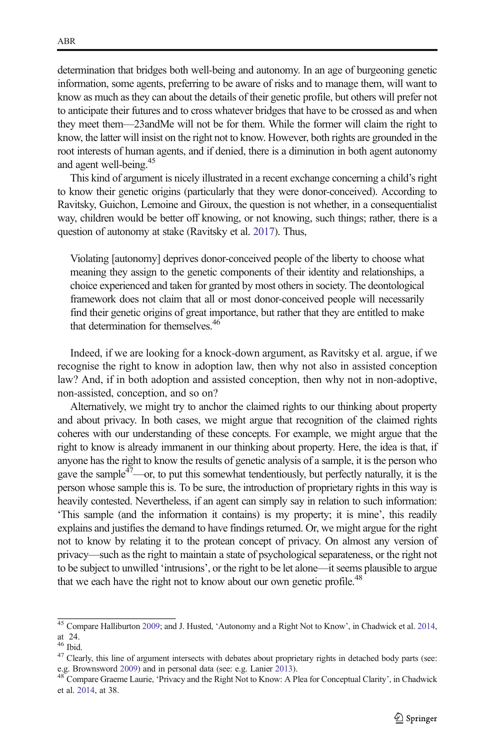determination that bridges both well-being and autonomy. In an age of burgeoning genetic information, some agents, preferring to be aware of risks and to manage them, will want to know as much as they can about the details of their genetic profile, but others will prefer not to anticipate their futures and to cross whatever bridges that have to be crossed as and when they meet them—23andMe will not be for them. While the former will claim the right to know, the latter will insist on the right not to know. However, both rights are grounded in the root interests of human agents, and if denied, there is a diminution in both agent autonomy and agent well-being.<sup>45</sup>

This kind of argument is nicely illustrated in a recent exchange concerning a child's right to know their genetic origins (particularly that they were donor-conceived). According to Ravitsky, Guichon, Lemoine and Giroux, the question is not whether, in a consequentialist way, children would be better off knowing, or not knowing, such things; rather, there is a question of autonomy at stake (Ravitsky et al. [2017\)](#page-15-0). Thus,

Violating [autonomy] deprives donor-conceived people of the liberty to choose what meaning they assign to the genetic components of their identity and relationships, a choice experienced and taken for granted by most others in society. The deontological framework does not claim that all or most donor-conceived people will necessarily find their genetic origins of great importance, but rather that they are entitled to make that determination for themselves.<sup>46</sup>

Indeed, if we are looking for a knock-down argument, as Ravitsky et al. argue, if we recognise the right to know in adoption law, then why not also in assisted conception law? And, if in both adoption and assisted conception, then why not in non-adoptive, non-assisted, conception, and so on?

Alternatively, we might try to anchor the claimed rights to our thinking about property and about privacy. In both cases, we might argue that recognition of the claimed rights coheres with our understanding of these concepts. For example, we might argue that the right to know is already immanent in our thinking about property. Here, the idea is that, if anyone has the right to know the results of genetic analysis of a sample, it is the person who gave the sample<sup>47</sup>—or, to put this somewhat tendentiously, but perfectly naturally, it is the person whose sample this is. To be sure, the introduction of proprietary rights in this way is heavily contested. Nevertheless, if an agent can simply say in relation to such information: 'This sample (and the information it contains) is my property; it is mine', this readily explains and justifies the demand to have findings returned. Or, we might argue for the right not to know by relating it to the protean concept of privacy. On almost any version of privacy—such as the right to maintain a state of psychological separateness, or the right not to be subject to unwilled 'intrusions', or the right to be let alone—it seems plausible to argue that we each have the right not to know about our own genetic profile.<sup>48</sup>

<sup>45</sup> Compare Halliburton [2009;](#page-15-0) and J. Husted, 'Autonomy and a Right Not to Know', in Chadwick et al. [2014](#page-14-0), at  $24.$ <br> $46$  Ibid.

 $47$  Clearly, this line of argument intersects with debates about proprietary rights in detached body parts (see: e.g. Brownsword [2009](#page-14-0)) and in personal data (see: e.g. Lanier [2013\)](#page-15-0).<br><sup>48</sup> Compare Graeme Laurie, 'Privacy and the Right Not to Know: A Plea for Conceptual Clarity', in Chadwick

et al. [2014](#page-14-0), at 38.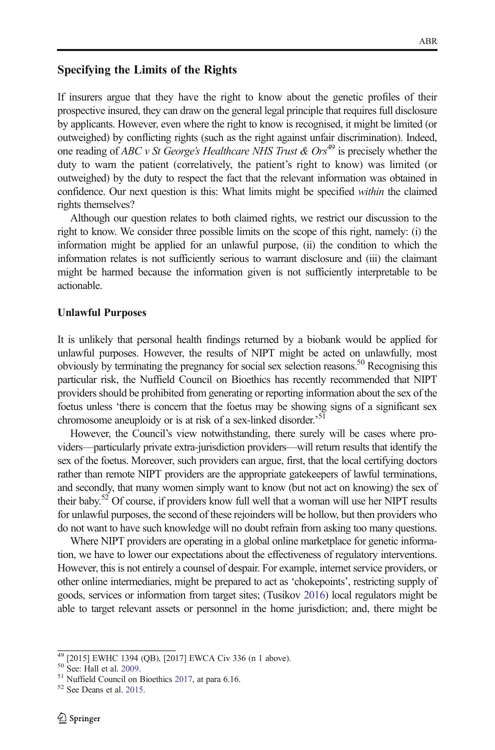## Specifying the Limits of the Rights

If insurers argue that they have the right to know about the genetic profiles of their prospective insured, they can draw on the general legal principle that requires full disclosure by applicants. However, even where the right to know is recognised, it might be limited (or outweighed) by conflicting rights (such as the right against unfair discrimination). Indeed, one reading of ABC v St George's Healthcare NHS Trust  $&$  Ors<sup>49</sup> is precisely whether the duty to warn the patient (correlatively, the patient's right to know) was limited (or outweighed) by the duty to respect the fact that the relevant information was obtained in confidence. Our next question is this: What limits might be specified within the claimed rights themselves?

Although our question relates to both claimed rights, we restrict our discussion to the right to know. We consider three possible limits on the scope of this right, namely: (i) the information might be applied for an unlawful purpose, (ii) the condition to which the information relates is not sufficiently serious to warrant disclosure and (iii) the claimant might be harmed because the information given is not sufficiently interpretable to be actionable.

## Unlawful Purposes

It is unlikely that personal health findings returned by a biobank would be applied for unlawful purposes. However, the results of NIPT might be acted on unlawfully, most obviously by terminating the pregnancy for social sex selection reasons.<sup>50</sup> Recognising this particular risk, the Nuffield Council on Bioethics has recently recommended that NIPT providers should be prohibited from generating or reporting information about the sex of the foetus unless 'there is concern that the foetus may be showing signs of a significant sex chromosome aneuploidy or is at risk of a sex-linked disorder.'<sup>51</sup>

However, the Council's view notwithstanding, there surely will be cases where providers—particularly private extra-jurisdiction providers—will return results that identify the sex of the foetus. Moreover, such providers can argue, first, that the local certifying doctors rather than remote NIPT providers are the appropriate gatekeepers of lawful terminations, and secondly, that many women simply want to know (but not act on knowing) the sex of their baby.<sup>52</sup> Of course, if providers know full well that a woman will use her NIPT results for unlawful purposes, the second of these rejoinders will be hollow, but then providers who do not want to have such knowledge will no doubt refrain from asking too many questions.

Where NIPT providers are operating in a global online marketplace for genetic information, we have to lower our expectations about the effectiveness of regulatory interventions. However, this is not entirely a counsel of despair. For example, internet service providers, or other online intermediaries, might be prepared to act as 'chokepoints', restricting supply of goods, services or information from target sites; (Tusikov [2016\)](#page-15-0) local regulators might be able to target relevant assets or personnel in the home jurisdiction; and, there might be

 $49$  [2015] EWHC 1394 (QB), [2017] EWCA Civ 336 (n 1 above).<br>
<sup>51</sup> See: Hall et al. [2009](#page-15-0).<br>
<sup>51</sup> Nuffield Council on Bioethics [2017,](#page-15-0) at para 6.16.<br>
<sup>52</sup> See Deans et al. [2015](#page-15-0).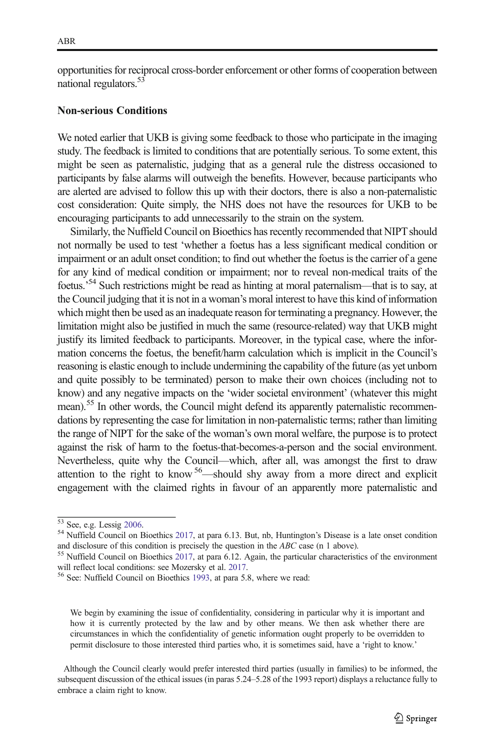opportunities for reciprocal cross-border enforcement or other forms of cooperation between national regulators.<sup>53</sup>

#### Non-serious Conditions

We noted earlier that UKB is giving some feedback to those who participate in the imaging study. The feedback is limited to conditions that are potentially serious. To some extent, this might be seen as paternalistic, judging that as a general rule the distress occasioned to participants by false alarms will outweigh the benefits. However, because participants who are alerted are advised to follow this up with their doctors, there is also a non-paternalistic cost consideration: Quite simply, the NHS does not have the resources for UKB to be encouraging participants to add unnecessarily to the strain on the system.

Similarly, the Nuffield Council on Bioethics has recently recommended that NIPT should not normally be used to test 'whether a foetus has a less significant medical condition or impairment or an adult onset condition; to find out whether the foetus is the carrier of a gene for any kind of medical condition or impairment; nor to reveal non-medical traits of the foetus.<sup>54</sup> Such restrictions might be read as hinting at moral paternalism—that is to say, at the Council judging that it is not in a woman's moral interest to have this kind of information which might then be used as an inadequate reason for terminating a pregnancy. However, the limitation might also be justified in much the same (resource-related) way that UKB might justify its limited feedback to participants. Moreover, in the typical case, where the information concerns the foetus, the benefit/harm calculation which is implicit in the Council's reasoning is elastic enough to include undermining the capability of the future (as yet unborn and quite possibly to be terminated) person to make their own choices (including not to know) and any negative impacts on the 'wider societal environment' (whatever this might mean).<sup>55</sup> In other words, the Council might defend its apparently paternalistic recommendations by representing the case for limitation in non-paternalistic terms; rather than limiting the range of NIPT for the sake of the woman's own moral welfare, the purpose is to protect against the risk of harm to the foetus-that-becomes-a-person and the social environment. Nevertheless, quite why the Council—which, after all, was amongst the first to draw attention to the right to know <sup>56</sup>—should shy away from a more direct and explicit engagement with the claimed rights in favour of an apparently more paternalistic and

We begin by examining the issue of confidentiality, considering in particular why it is important and how it is currently protected by the law and by other means. We then ask whether there are circumstances in which the confidentiality of genetic information ought properly to be overridden to permit disclosure to those interested third parties who, it is sometimes said, have a 'right to know.'

Although the Council clearly would prefer interested third parties (usually in families) to be informed, the subsequent discussion of the ethical issues (in paras 5.24–5.28 of the 1993 report) displays a reluctance fully to embrace a claim right to know.

 $\frac{53}{53}$  See, e.g. Lessig [2006.](#page-15-0)<br><sup>54</sup> Nuffield Council on Bioethics [2017](#page-15-0), at para 6.13. But, nb, Huntington's Disease is a late onset condition and disclosure of this condition is precisely the question in the *ABC* case (n 1 above).<br><sup>55</sup> Nuffield Council on Bioethics [2017](#page-15-0), at para 6.12. Again, the particular characteristics of the environment

will reflect local conditions: see Mozersky et al. [2017](#page-15-0).<br><sup>56</sup> See: Nuffield Council on Bioethics [1993](#page-15-0), at para 5.8, where we read: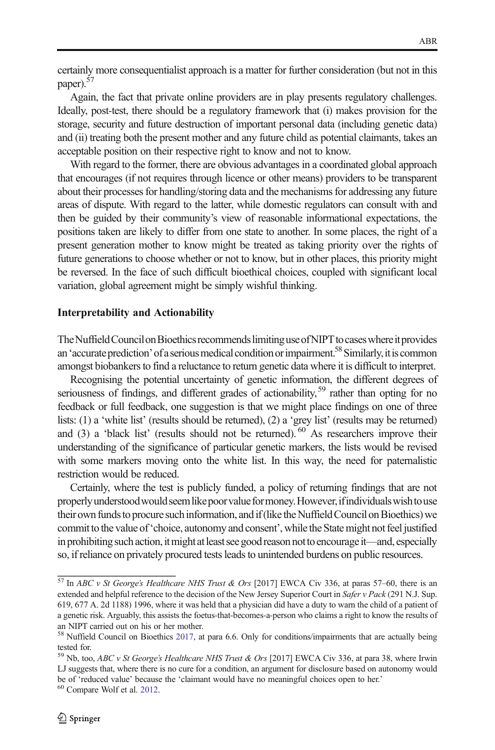certainly more consequentialist approach is a matter for further consideration (but not in this paper).<sup>57</sup>

Again, the fact that private online providers are in play presents regulatory challenges. Ideally, post-test, there should be a regulatory framework that (i) makes provision for the storage, security and future destruction of important personal data (including genetic data) and (ii) treating both the present mother and any future child as potential claimants, takes an acceptable position on their respective right to know and not to know.

With regard to the former, there are obvious advantages in a coordinated global approach that encourages (if not requires through licence or other means) providers to be transparent about their processes for handling/storing data and the mechanisms for addressing any future areas of dispute. With regard to the latter, while domestic regulators can consult with and then be guided by their community's view of reasonable informational expectations, the positions taken are likely to differ from one state to another. In some places, the right of a present generation mother to know might be treated as taking priority over the rights of future generations to choose whether or not to know, but in other places, this priority might be reversed. In the face of such difficult bioethical choices, coupled with significant local variation, global agreement might be simply wishful thinking.

#### Interpretability and Actionability

The Nuffield Council on Bioethics recommends limiting use of NIPT to cases where it provides an 'accurate prediction' of a serious medical condition or impairment.<sup>58</sup> Similarly, it is common amongst biobankers to find a reluctance to return genetic data where it is difficult to interpret.

Recognising the potential uncertainty of genetic information, the different degrees of seriousness of findings, and different grades of actionability,  $59$  rather than opting for no feedback or full feedback, one suggestion is that we might place findings on one of three lists: (1) a 'white list' (results should be returned), (2) a 'grey list' (results may be returned) and  $(3)$  a 'black list' (results should not be returned). <sup>60</sup> As researchers improve their understanding of the significance of particular genetic markers, the lists would be revised with some markers moving onto the white list. In this way, the need for paternalistic restriction would be reduced.

Certainly, where the test is publicly funded, a policy of returning findings that are not properly understood would seem like poor value for money. However, if individuals wish to use their own funds to procure such information, and if (like the Nuffield Council on Bioethics) we commit to the value of 'choice, autonomy and consent', while the State might not feel justified in prohibiting such action, it might at least see good reason not to encourage it—and, especially so, if reliance on privately procured tests leads to unintended burdens on public resources.

 $\frac{57 \text{ In } ABC \text{ } v \text{ } St \text{ } George's \text{ } Healthcare \text{ } NHS \text{ } Trust \text{ } & \text{ } Ors \text{ } [2017] \text{ } EWCA \text{ } Civ \text{ } 336, at \text{ } paras \text{ } 57–60, there is an }$ extended and helpful reference to the decision of the New Jersey Superior Court in Safer v Pack (291 N.J. Sup. 619, 677 A. 2d 1188) 1996, where it was held that a physician did have a duty to warn the child of a patient of a genetic risk. Arguably, this assists the foetus-that-becomes-a-person who claims a right to know the results of an NIPT carried out on his or her mother.

<sup>&</sup>lt;sup>58</sup> Nuffield Council on Bioethics [2017,](#page-15-0) at para 6.6. Only for conditions/impairments that are actually being tested for.

 $59$  Nb, too, ABC v St George's Healthcare NHS Trust & Ors [2017] EWCA Civ 336, at para 38, where Irwin LJ suggests that, where there is no cure for a condition, an argument for disclosure based on autonomy would be of 'reduced value' because the 'claimant would have no meaningful choices open to her.' <sup>60</sup> Compare Wolf et al. [2012](#page-15-0).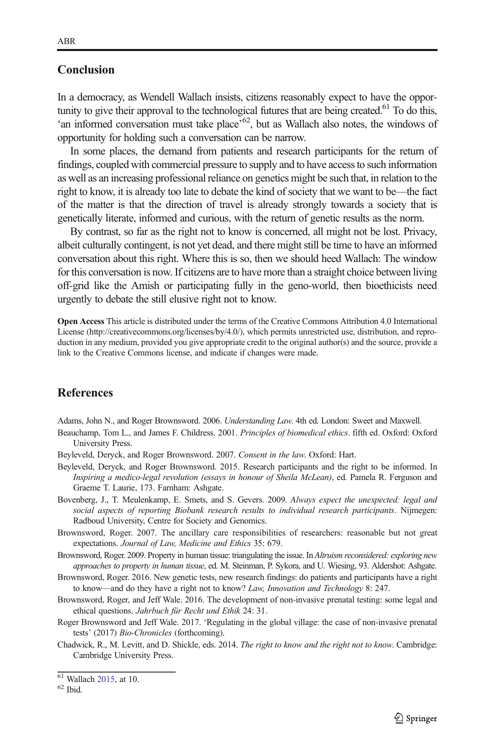### <span id="page-14-0"></span>Conclusion

In a democracy, as Wendell Wallach insists, citizens reasonably expect to have the opportunity to give their approval to the technological futures that are being created.<sup>61</sup> To do this, 'an informed conversation must take place'<sup>62</sup>, but as Wallach also notes, the windows of opportunity for holding such a conversation can be narrow.

In some places, the demand from patients and research participants for the return of findings, coupled with commercial pressure to supply and to have access to such information as well as an increasing professional reliance on genetics might be such that, in relation to the right to know, it is already too late to debate the kind of society that we want to be—the fact of the matter is that the direction of travel is already strongly towards a society that is genetically literate, informed and curious, with the return of genetic results as the norm.

By contrast, so far as the right not to know is concerned, all might not be lost. Privacy, albeit culturally contingent, is not yet dead, and there might still be time to have an informed conversation about this right. Where this is so, then we should heed Wallach: The window for this conversation is now. If citizens are to have more than a straight choice between living off-grid like the Amish or participating fully in the geno-world, then bioethicists need urgently to debate the still elusive right not to know.

Open Access This article is distributed under the terms of the Creative Commons Attribution 4.0 International License (http://creativecommons.org/licenses/by/4.0/), which permits unrestricted use, distribution, and reproduction in any medium, provided you give appropriate credit to the original author(s) and the source, provide a link to the Creative Commons license, and indicate if changes were made.

### **References**

Adams, John N., and Roger Brownsword. 2006. Understanding Law. 4th ed. London: Sweet and Maxwell.

- Beauchamp, Tom L., and James F. Childress. 2001. Principles of biomedical ethics. fifth ed. Oxford: Oxford University Press.
- Beyleveld, Deryck, and Roger Brownsword. 2007. Consent in the law. Oxford: Hart.
- Beyleveld, Deryck, and Roger Brownsword. 2015. Research participants and the right to be informed. In Inspiring a medico-legal revolution (essays in honour of Sheila McLean), ed. Pamela R. Ferguson and Graeme T. Laurie, 173. Farnham: Ashgate.
- Bovenberg, J., T. Meulenkamp, E. Smets, and S. Gevers. 2009. Always expect the unexpected: legal and social aspects of reporting Biobank research results to individual research participants. Nijmegen: Radboud University, Centre for Society and Genomics.
- Brownsword, Roger. 2007. The ancillary care responsibilities of researchers: reasonable but not great expectations. Journal of Law, Medicine and Ethics 35: 679.
- Brownsword, Roger. 2009. Property in human tissue: triangulating the issue. In Altruism reconsidered: exploring new approaches to property in human tissue, ed. M. Steinman, P. Sykora, and U. Wiesing, 93. Aldershot: Ashgate.
- Brownsword, Roger. 2016. New genetic tests, new research findings: do patients and participants have a right to know—and do they have a right not to know? Law, Innovation and Technology 8: 247.
- Brownsword, Roger, and Jeff Wale. 2016. The development of non-invasive prenatal testing: some legal and ethical questions. Jahrbuch für Recht und Ethik 24: 31.
- Roger Brownsword and Jeff Wale. 2017. 'Regulating in the global village: the case of non-invasive prenatal tests' (2017) Bio-Chronicles (forthcoming).
- Chadwick, R., M. Levitt, and D. Shickle, eds. 2014. The right to know and the right not to know. Cambridge: Cambridge University Press.

 $^{61}$  Wallach [2015,](#page-15-0) at 10.<br> $^{62}$  Ibid.